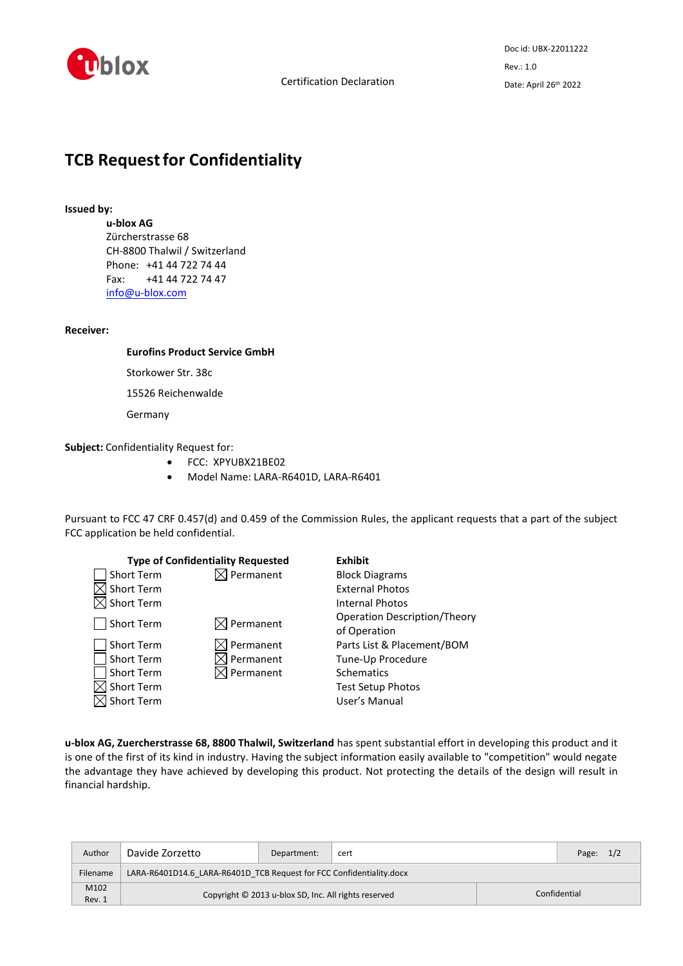

# **TCB Request for Confidentiality**

## **Issued by:**

**u-blox AG**

Zürcherstrasse 68 CH-8800 Thalwil / Switzerland Phone: +41 44 722 74 44 Fax: +41 44 722 74 47 [info@u-blox.com](mailto:info@u-blox.com)

## **Receiver:**

# **Eurofins Product Service GmbH**

Storkower Str. 38c

15526 Reichenwalde

Germany

**Subject:** Confidentiality Request for:

- FCC: XPYUBX21BE02
- Model Name: LARA-R6401D, LARA-R6401

Pursuant to FCC 47 CRF 0.457(d) and 0.459 of the Commission Rules, the applicant requests that a part of the subject FCC application be held confidential.

|                   | <b>Type of Confidentiality Requested</b> | <b>Exhibit</b>                      |
|-------------------|------------------------------------------|-------------------------------------|
| Short Term        | Permanent                                | <b>Block Diagrams</b>               |
| <b>Short Term</b> |                                          | <b>External Photos</b>              |
| Short Term        |                                          | <b>Internal Photos</b>              |
| Short Term        | $\boxtimes$ Permanent                    | <b>Operation Description/Theory</b> |
|                   |                                          | of Operation                        |
| Short Term        | Permanent                                | Parts List & Placement/BOM          |
| Short Term        | $\Diamond$ Permanent                     | Tune-Up Procedure                   |
| Short Term        | J Permanent                              | <b>Schematics</b>                   |
| Short Term        |                                          | <b>Test Setup Photos</b>            |
| Short Term        |                                          | User's Manual                       |

**u-blox AG, Zuercherstrasse 68, 8800 Thalwil, Switzerland** has spent substantial effort in developing this product and it is one of the first of its kind in industry. Having the subject information easily available to "competition" would negate the advantage they have achieved by developing this product. Not protecting the details of the design will result in financial hardship.

| Author         | Davide Zorzetto                                                      | Department: | cert |              | Page: $1/2$ |  |  |  |
|----------------|----------------------------------------------------------------------|-------------|------|--------------|-------------|--|--|--|
| Filename       | LARA-R6401D14.6 LARA-R6401D TCB Request for FCC Confidentiality.docx |             |      |              |             |  |  |  |
| M102<br>Rev. 1 | Copyright © 2013 u-blox SD, Inc. All rights reserved                 |             |      | Confidential |             |  |  |  |